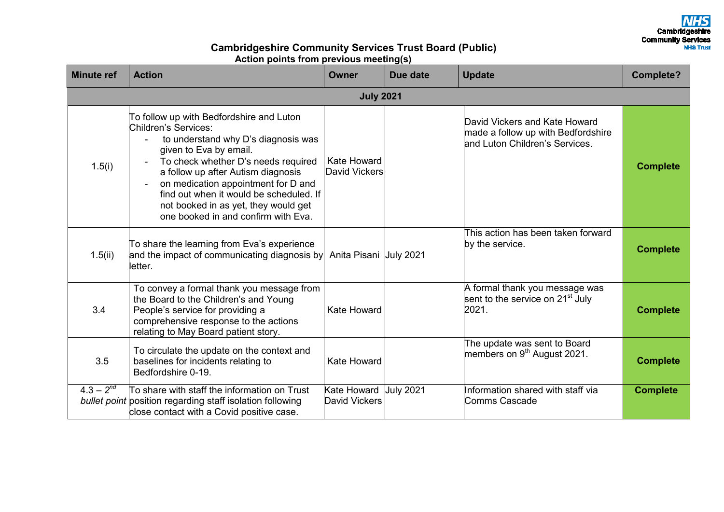**Cambridgeshire**<br>Community Services<br>NHS Trust

## **Cambridgeshire Community Services Trust Board (Public) Action points from previous meeting(s)**

| <b>Minute ref</b> | <b>Action</b>                                                                                                                                                                                                                                                                                                                                                                                                       | <b>Owner</b>                                  | Due date | <b>Update</b>                                                                                         | <b>Complete?</b> |  |  |  |
|-------------------|---------------------------------------------------------------------------------------------------------------------------------------------------------------------------------------------------------------------------------------------------------------------------------------------------------------------------------------------------------------------------------------------------------------------|-----------------------------------------------|----------|-------------------------------------------------------------------------------------------------------|------------------|--|--|--|
| <b>July 2021</b>  |                                                                                                                                                                                                                                                                                                                                                                                                                     |                                               |          |                                                                                                       |                  |  |  |  |
| 1.5(i)            | To follow up with Bedfordshire and Luton<br>Children's Services:<br>to understand why D's diagnosis was<br>given to Eva by email.<br>To check whether D's needs required<br>$\blacksquare$<br>a follow up after Autism diagnosis<br>on medication appointment for D and<br>$\overline{a}$<br>find out when it would be scheduled. If<br>not booked in as yet, they would get<br>one booked in and confirm with Eva. | Kate Howard<br><b>David Vickers</b>           |          | David Vickers and Kate Howard<br>made a follow up with Bedfordshire<br>and Luton Children's Services. | <b>Complete</b>  |  |  |  |
| 1.5(ii)           | To share the learning from Eva's experience<br>and the impact of communicating diagnosis by<br>letter.                                                                                                                                                                                                                                                                                                              | Anita Pisani July 2021                        |          | This action has been taken forward<br>by the service.                                                 | <b>Complete</b>  |  |  |  |
| 3.4               | To convey a formal thank you message from<br>the Board to the Children's and Young<br>People's service for providing a<br>comprehensive response to the actions<br>relating to May Board patient story.                                                                                                                                                                                                             | <b>Kate Howard</b>                            |          | A formal thank you message was<br>sent to the service on 21 <sup>st</sup> July<br>2021.               | <b>Complete</b>  |  |  |  |
| 3.5               | To circulate the update on the context and<br>baselines for incidents relating to<br>Bedfordshire 0-19.                                                                                                                                                                                                                                                                                                             | <b>Kate Howard</b>                            |          | The update was sent to Board<br>members on 9 <sup>th</sup> August 2021.                               | <b>Complete</b>  |  |  |  |
| $4.3 - 2^{nd}$    | To share with staff the information on Trust<br>bullet point position regarding staff isolation following<br>close contact with a Covid positive case.                                                                                                                                                                                                                                                              | Kate Howard Uuly 2021<br><b>David Vickers</b> |          | Information shared with staff via<br>lComms Cascade                                                   | <b>Complete</b>  |  |  |  |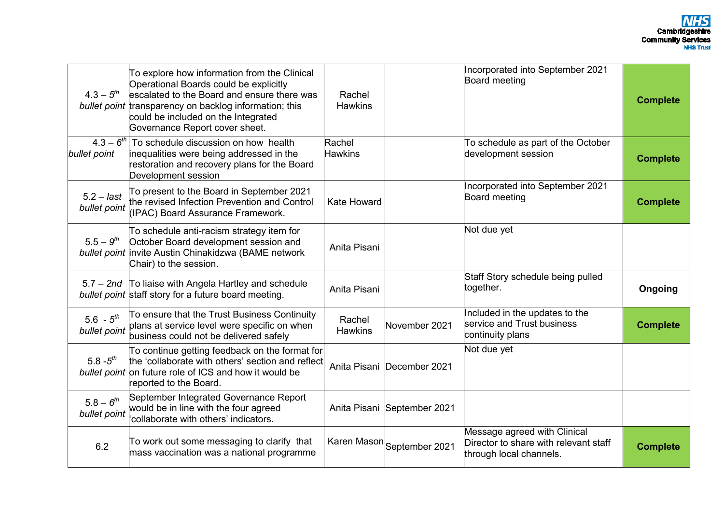| $4.3 - 5^{th}$                 | To explore how information from the Clinical<br>Operational Boards could be explicitly<br>escalated to the Board and ensure there was<br>bullet point transparency on backlog information; this<br>could be included on the Integrated<br>Governance Report cover sheet. | Rachel<br><b>Hawkins</b> |                             | Incorporated into September 2021<br>Board meeting                                                | <b>Complete</b> |
|--------------------------------|--------------------------------------------------------------------------------------------------------------------------------------------------------------------------------------------------------------------------------------------------------------------------|--------------------------|-----------------------------|--------------------------------------------------------------------------------------------------|-----------------|
| $4.3 - 6^{th}$<br>bullet point | To schedule discussion on how health<br>inequalities were being addressed in the<br>restoration and recovery plans for the Board<br>Development session                                                                                                                  | Rachel<br><b>Hawkins</b> |                             | To schedule as part of the October<br>development session                                        | <b>Complete</b> |
| $5.2$ – last<br>bullet point   | To present to the Board in September 2021<br>the revised Infection Prevention and Control<br>(IPAC) Board Assurance Framework.                                                                                                                                           | <b>Kate Howard</b>       |                             | Incorporated into September 2021<br>Board meeting                                                | <b>Complete</b> |
| $5.5 - 9^{th}$                 | To schedule anti-racism strategy item for<br>October Board development session and<br>bullet point invite Austin Chinakidzwa (BAME network<br>Chair) to the session.                                                                                                     | Anita Pisani             |                             | Not due yet                                                                                      |                 |
|                                | 5.7 - 2nd To liaise with Angela Hartley and schedule<br>bullet point staff story for a future board meeting.                                                                                                                                                             | Anita Pisani             |                             | Staff Story schedule being pulled<br>together.                                                   | Ongoing         |
| $5.6 - 5^{th}$<br>bullet point | To ensure that the Trust Business Continuity<br>plans at service level were specific on when<br>business could not be delivered safely                                                                                                                                   | Rachel<br><b>Hawkins</b> | November 2021               | Included in the updates to the<br>service and Trust business<br>continuity plans                 | <b>Complete</b> |
| $5.8 - 5^{th}$                 | To continue getting feedback on the format for<br>the 'collaborate with others' section and reflect<br>bullet point on future role of ICS and how it would be<br>reported to the Board.                                                                                  |                          | Anita Pisani December 2021  | Not due yet                                                                                      |                 |
| $5.8 - 6^{th}$<br>bullet point | September Integrated Governance Report<br>would be in line with the four agreed<br>collaborate with others' indicators.                                                                                                                                                  |                          | Anita Pisani September 2021 |                                                                                                  |                 |
| 6.2                            | To work out some messaging to clarify that<br>mass vaccination was a national programme                                                                                                                                                                                  |                          | Karen Mason September 2021  | Message agreed with Clinical<br>Director to share with relevant staff<br>through local channels. | <b>Complete</b> |